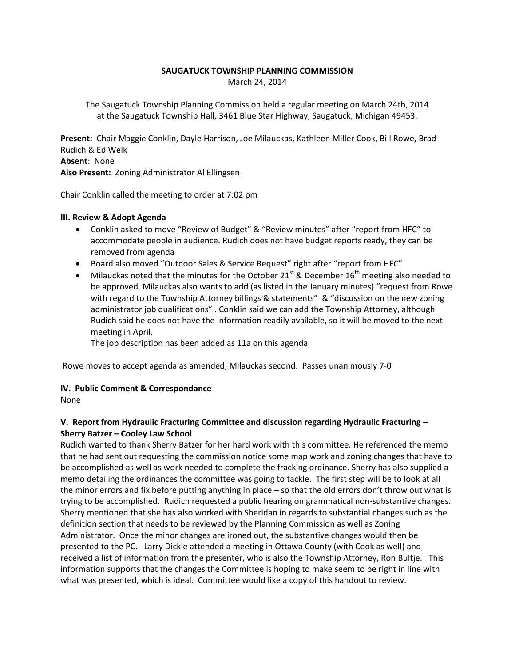## **SAUGATUCK TOWNSHIP PLANNING COMMISSION** March 24, 2014

The Saugatuck Township Planning Commission held a regular meeting on March 24th, 2014 at the Saugatuck Township Hall, 3461 Blue Star Highway, Saugatuck, Michigan 49453.

**Present:** Chair Maggie Conklin, Dayle Harrison, Joe Milauckas, Kathleen Miller Cook, Bill Rowe, Brad Rudich & Ed Welk **Absent**: None **Also Present:** Zoning Administrator Al Ellingsen

Chair Conklin called the meeting to order at 7:02 pm

### **III. Review & Adopt Agenda**

- Conklin asked to move "Review of Budget" & "Review minutes" after "report from HFC" to accommodate people in audience. Rudich does not have budget reports ready, they can be removed from agenda
- Board also moved "Outdoor Sales & Service Request" right after "report from HFC"
- $\bullet$  Milauckas noted that the minutes for the October 21<sup>st</sup> & December 16<sup>th</sup> meeting also needed to be approved. Milauckas also wants to add (as listed in the January minutes) "request from Rowe with regard to the Township Attorney billings & statements" & "discussion on the new zoning administrator job qualifications" . Conklin said we can add the Township Attorney, although Rudich said he does not have the information readily available, so it will be moved to the next meeting in April.

The job description has been added as 11a on this agenda

Rowe moves to accept agenda as amended, Milauckas second. Passes unanimously 7-0

## **IV. Public Comment & Correspondance**

None

# **V. Report from Hydraulic Fracturing Committee and discussion regarding Hydraulic Fracturing – Sherry Batzer – Cooley Law School**

Rudich wanted to thank Sherry Batzer for her hard work with this committee. He referenced the memo that he had sent out requesting the commission notice some map work and zoning changes that have to be accomplished as well as work needed to complete the fracking ordinance. Sherry has also supplied a memo detailing the ordinances the committee was going to tackle. The first step will be to look at all the minor errors and fix before putting anything in place – so that the old errors don't throw out what is trying to be accomplished. Rudich requested a public hearing on grammatical non-substantive changes. Sherry mentioned that she has also worked with Sheridan in regards to substantial changes such as the definition section that needs to be reviewed by the Planning Commission as well as Zoning Administrator. Once the minor changes are ironed out, the substantive changes would then be presented to the PC. Larry Dickie attended a meeting in Ottawa County (with Cook as well) and received a list of information from the presenter, who is also the Township Attorney, Ron Bultje. This information supports that the changes the Committee is hoping to make seem to be right in line with what was presented, which is ideal. Committee would like a copy of this handout to review.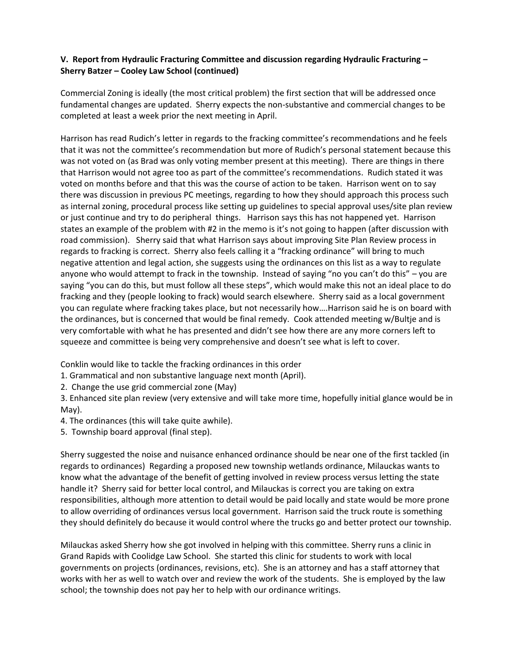# **V. Report from Hydraulic Fracturing Committee and discussion regarding Hydraulic Fracturing – Sherry Batzer – Cooley Law School (continued)**

Commercial Zoning is ideally (the most critical problem) the first section that will be addressed once fundamental changes are updated. Sherry expects the non-substantive and commercial changes to be completed at least a week prior the next meeting in April.

Harrison has read Rudich's letter in regards to the fracking committee's recommendations and he feels that it was not the committee's recommendation but more of Rudich's personal statement because this was not voted on (as Brad was only voting member present at this meeting). There are things in there that Harrison would not agree too as part of the committee's recommendations. Rudich stated it was voted on months before and that this was the course of action to be taken. Harrison went on to say there was discussion in previous PC meetings, regarding to how they should approach this process such as internal zoning, procedural process like setting up guidelines to special approval uses/site plan review or just continue and try to do peripheral things. Harrison says this has not happened yet. Harrison states an example of the problem with #2 in the memo is it's not going to happen (after discussion with road commission). Sherry said that what Harrison says about improving Site Plan Review process in regards to fracking is correct. Sherry also feels calling it a "fracking ordinance" will bring to much negative attention and legal action, she suggests using the ordinances on this list as a way to regulate anyone who would attempt to frack in the township. Instead of saying "no you can't do this" - you are saying "you can do this, but must follow all these steps", which would make this not an ideal place to do fracking and they (people looking to frack) would search elsewhere. Sherry said as a local government you can regulate where fracking takes place, but not necessarily how….Harrison said he is on board with the ordinances, but is concerned that would be final remedy. Cook attended meeting w/Bultje and is very comfortable with what he has presented and didn't see how there are any more corners left to squeeze and committee is being very comprehensive and doesn't see what is left to cover.

Conklin would like to tackle the fracking ordinances in this order

- 1. Grammatical and non substantive language next month (April).
- 2. Change the use grid commercial zone (May)

3. Enhanced site plan review (very extensive and will take more time, hopefully initial glance would be in May).

4. The ordinances (this will take quite awhile).

5. Township board approval (final step).

Sherry suggested the noise and nuisance enhanced ordinance should be near one of the first tackled (in regards to ordinances) Regarding a proposed new township wetlands ordinance, Milauckas wants to know what the advantage of the benefit of getting involved in review process versus letting the state handle it? Sherry said for better local control, and Milauckas is correct you are taking on extra responsibilities, although more attention to detail would be paid locally and state would be more prone to allow overriding of ordinances versus local government. Harrison said the truck route is something they should definitely do because it would control where the trucks go and better protect our township.

Milauckas asked Sherry how she got involved in helping with this committee. Sherry runs a clinic in Grand Rapids with Coolidge Law School. She started this clinic for students to work with local governments on projects (ordinances, revisions, etc). She is an attorney and has a staff attorney that works with her as well to watch over and review the work of the students. She is employed by the law school; the township does not pay her to help with our ordinance writings.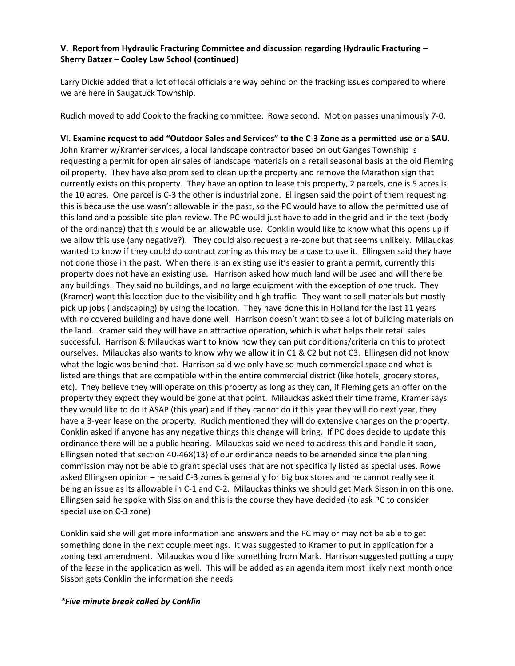# **V. Report from Hydraulic Fracturing Committee and discussion regarding Hydraulic Fracturing – Sherry Batzer – Cooley Law School (continued)**

Larry Dickie added that a lot of local officials are way behind on the fracking issues compared to where we are here in Saugatuck Township.

Rudich moved to add Cook to the fracking committee. Rowe second. Motion passes unanimously 7-0.

**VI. Examine request to add "Outdoor Sales and Services" to the C-3 Zone as a permitted use or a SAU.**  John Kramer w/Kramer services, a local landscape contractor based on out Ganges Township is requesting a permit for open air sales of landscape materials on a retail seasonal basis at the old Fleming oil property. They have also promised to clean up the property and remove the Marathon sign that currently exists on this property. They have an option to lease this property, 2 parcels, one is 5 acres is the 10 acres. One parcel is C-3 the other is industrial zone. Ellingsen said the point of them requesting this is because the use wasn't allowable in the past, so the PC would have to allow the permitted use of this land and a possible site plan review. The PC would just have to add in the grid and in the text (body of the ordinance) that this would be an allowable use. Conklin would like to know what this opens up if we allow this use (any negative?). They could also request a re-zone but that seems unlikely. Milauckas wanted to know if they could do contract zoning as this may be a case to use it. Ellingsen said they have not done those in the past. When there is an existing use it's easier to grant a permit, currently this property does not have an existing use. Harrison asked how much land will be used and will there be any buildings. They said no buildings, and no large equipment with the exception of one truck. They (Kramer) want this location due to the visibility and high traffic. They want to sell materials but mostly pick up jobs (landscaping) by using the location. They have done this in Holland for the last 11 years with no covered building and have done well. Harrison doesn't want to see a lot of building materials on the land. Kramer said they will have an attractive operation, which is what helps their retail sales successful. Harrison & Milauckas want to know how they can put conditions/criteria on this to protect ourselves. Milauckas also wants to know why we allow it in C1 & C2 but not C3. Ellingsen did not know what the logic was behind that. Harrison said we only have so much commercial space and what is listed are things that are compatible within the entire commercial district (like hotels, grocery stores, etc). They believe they will operate on this property as long as they can, if Fleming gets an offer on the property they expect they would be gone at that point. Milauckas asked their time frame, Kramer says they would like to do it ASAP (this year) and if they cannot do it this year they will do next year, they have a 3-year lease on the property. Rudich mentioned they will do extensive changes on the property. Conklin asked if anyone has any negative things this change will bring. If PC does decide to update this ordinance there will be a public hearing. Milauckas said we need to address this and handle it soon, Ellingsen noted that section 40-468(13) of our ordinance needs to be amended since the planning commission may not be able to grant special uses that are not specifically listed as special uses. Rowe asked Ellingsen opinion – he said C-3 zones is generally for big box stores and he cannot really see it being an issue as its allowable in C-1 and C-2. Milauckas thinks we should get Mark Sisson in on this one. Ellingsen said he spoke with Sission and this is the course they have decided (to ask PC to consider special use on C-3 zone)

Conklin said she will get more information and answers and the PC may or may not be able to get something done in the next couple meetings. It was suggested to Kramer to put in application for a zoning text amendment. Milauckas would like something from Mark. Harrison suggested putting a copy of the lease in the application as well. This will be added as an agenda item most likely next month once Sisson gets Conklin the information she needs.

## *\*Five minute break called by Conklin*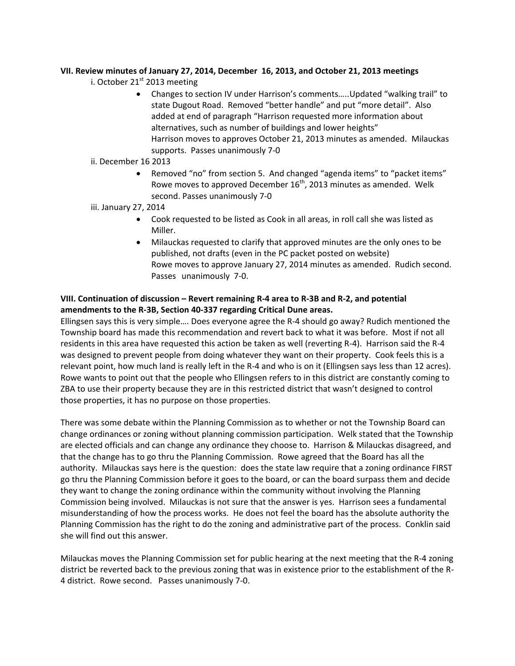# **VII. Review minutes of January 27, 2014, December 16, 2013, and October 21, 2013 meetings**

- i. October  $21<sup>st</sup>$  2013 meeting
	- Changes to section IV under Harrison's comments…..Updated "walking trail" to state Dugout Road. Removed "better handle" and put "more detail". Also added at end of paragraph "Harrison requested more information about alternatives, such as number of buildings and lower heights" Harrison moves to approves October 21, 2013 minutes as amended. Milauckas supports. Passes unanimously 7-0
- ii. December 16 2013
	- Removed "no" from section 5. And changed "agenda items" to "packet items" Rowe moves to approved December  $16^{th}$ , 2013 minutes as amended. Welk second. Passes unanimously 7-0
- iii. January 27, 2014
	- Cook requested to be listed as Cook in all areas, in roll call she was listed as Miller.
	- Milauckas requested to clarify that approved minutes are the only ones to be published, not drafts (even in the PC packet posted on website) Rowe moves to approve January 27, 2014 minutes as amended. Rudich second. Passes unanimously 7-0.

# **VIII. Continuation of discussion – Revert remaining R-4 area to R-3B and R-2, and potential amendments to the R-3B, Section 40-337 regarding Critical Dune areas.**

Ellingsen says this is very simple…. Does everyone agree the R-4 should go away? Rudich mentioned the Township board has made this recommendation and revert back to what it was before. Most if not all residents in this area have requested this action be taken as well (reverting R-4). Harrison said the R-4 was designed to prevent people from doing whatever they want on their property. Cook feels this is a relevant point, how much land is really left in the R-4 and who is on it (Ellingsen says less than 12 acres). Rowe wants to point out that the people who Ellingsen refers to in this district are constantly coming to ZBA to use their property because they are in this restricted district that wasn't designed to control those properties, it has no purpose on those properties.

There was some debate within the Planning Commission as to whether or not the Township Board can change ordinances or zoning without planning commission participation. Welk stated that the Township are elected officials and can change any ordinance they choose to. Harrison & Milauckas disagreed, and that the change has to go thru the Planning Commission. Rowe agreed that the Board has all the authority. Milauckas says here is the question: does the state law require that a zoning ordinance FIRST go thru the Planning Commission before it goes to the board, or can the board surpass them and decide they want to change the zoning ordinance within the community without involving the Planning Commission being involved. Milauckas is not sure that the answer is yes. Harrison sees a fundamental misunderstanding of how the process works. He does not feel the board has the absolute authority the Planning Commission has the right to do the zoning and administrative part of the process. Conklin said she will find out this answer.

Milauckas moves the Planning Commission set for public hearing at the next meeting that the R-4 zoning district be reverted back to the previous zoning that was in existence prior to the establishment of the R-4 district. Rowe second. Passes unanimously 7-0.